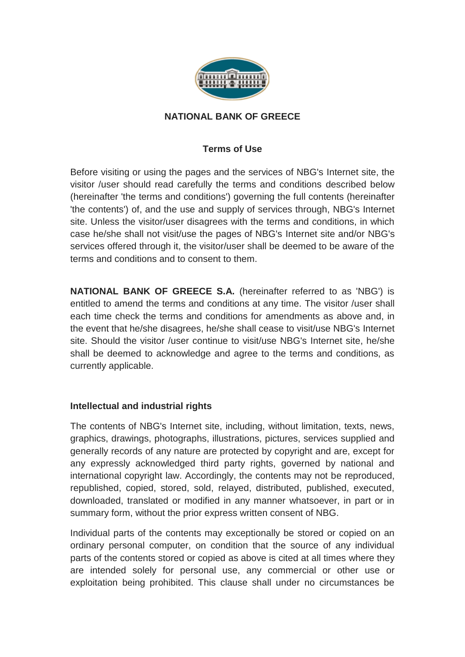

### **NATIONAL BANK OF GREECE**

# **Terms of Use**

Before visiting or using the pages and the services of NBG's Internet site, the visitor /user should read carefully the terms and conditions described below (hereinafter 'the terms and conditions') governing the full contents (hereinafter 'the contents') of, and the use and supply of services through, NBG's Internet site. Unless the visitor/user disagrees with the terms and conditions, in which case he/she shall not visit/use the pages of NBG's Internet site and/or NBG's services offered through it, the visitor/user shall be deemed to be aware of the terms and conditions and to consent to them.

**NATIONAL BANK OF GREECE S.A.** (hereinafter referred to as 'NBG') is entitled to amend the terms and conditions at any time. The visitor /user shall each time check the terms and conditions for amendments as above and, in the event that he/she disagrees, he/she shall cease to visit/use NBG's Internet site. Should the visitor /user continue to visit/use NBG's Internet site, he/she shall be deemed to acknowledge and agree to the terms and conditions, as currently applicable.

## **Intellectual and industrial rights**

The contents of NBG's Internet site, including, without limitation, texts, news, graphics, drawings, photographs, illustrations, pictures, services supplied and generally records of any nature are protected by copyright and are, except for any expressly acknowledged third party rights, governed by national and international copyright law. Accordingly, the contents may not be reproduced, republished, copied, stored, sold, relayed, distributed, published, executed, downloaded, translated or modified in any manner whatsoever, in part or in summary form, without the prior express written consent of NBG.

Individual parts of the contents may exceptionally be stored or copied on an ordinary personal computer, on condition that the source of any individual parts of the contents stored or copied as above is cited at all times where they are intended solely for personal use, any commercial or other use or exploitation being prohibited. This clause shall under no circumstances be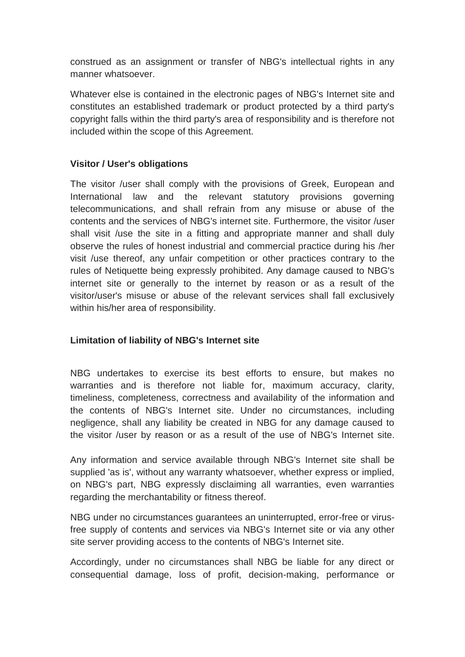construed as an assignment or transfer of NBG's intellectual rights in any manner whatsoever.

Whatever else is contained in the electronic pages of NBG's Internet site and constitutes an established trademark or product protected by a third party's copyright falls within the third party's area of responsibility and is therefore not included within the scope of this Agreement.

## **Visitor / User's obligations**

The visitor /user shall comply with the provisions of Greek, European and International law and the relevant statutory provisions governing telecommunications, and shall refrain from any misuse or abuse of the contents and the services of NBG's internet site. Furthermore, the visitor /user shall visit /use the site in a fitting and appropriate manner and shall duly observe the rules of honest industrial and commercial practice during his /her visit /use thereof, any unfair competition or other practices contrary to the rules of Netiquette being expressly prohibited. Any damage caused to NBG's internet site or generally to the internet by reason or as a result of the visitor/user's misuse or abuse of the relevant services shall fall exclusively within his/her area of responsibility.

## **Limitation of liability of NBG's Internet site**

NBG undertakes to exercise its best efforts to ensure, but makes no warranties and is therefore not liable for, maximum accuracy, clarity, timeliness, completeness, correctness and availability of the information and the contents of NBG's Internet site. Under no circumstances, including negligence, shall any liability be created in NBG for any damage caused to the visitor /user by reason or as a result of the use of NBG's Internet site.

Any information and service available through NBG's Internet site shall be supplied 'as is', without any warranty whatsoever, whether express or implied, on NBG's part, NBG expressly disclaiming all warranties, even warranties regarding the merchantability or fitness thereof.

NBG under no circumstances guarantees an uninterrupted, error-free or virusfree supply of contents and services via NBG's Internet site or via any other site server providing access to the contents of NBG's Internet site.

Accordingly, under no circumstances shall NBG be liable for any direct or consequential damage, loss of profit, decision-making, performance or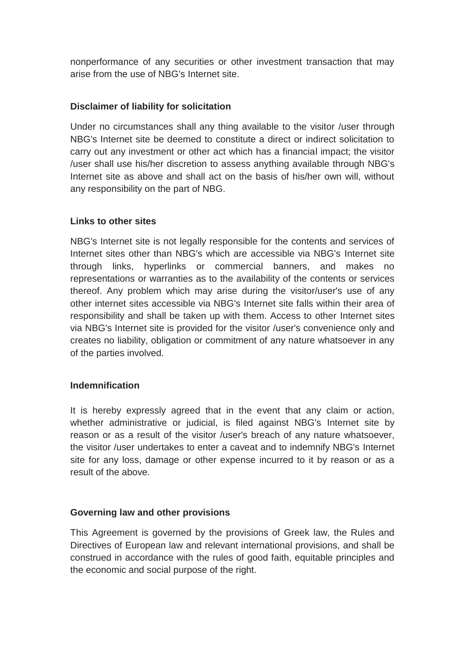nonperformance of any securities or other investment transaction that may arise from the use of NBG's Internet site.

# **Disclaimer of liability for solicitation**

Under no circumstances shall any thing available to the visitor /user through NBG's Internet site be deemed to constitute a direct or indirect solicitation to carry out any investment or other act which has a financial impact; the visitor /user shall use his/her discretion to assess anything available through NBG's Internet site as above and shall act on the basis of his/her own will, without any responsibility on the part of NBG.

## **Links to other sites**

NBG's Internet site is not legally responsible for the contents and services of Internet sites other than NBG's which are accessible via NBG's Internet site through links, hyperlinks or commercial banners, and makes no representations or warranties as to the availability of the contents or services thereof. Any problem which may arise during the visitor/user's use of any other internet sites accessible via NBG's Internet site falls within their area of responsibility and shall be taken up with them. Access to other Internet sites via NBG's Internet site is provided for the visitor /user's convenience only and creates no liability, obligation or commitment of any nature whatsoever in any of the parties involved.

## **Indemnification**

It is hereby expressly agreed that in the event that any claim or action, whether administrative or judicial, is filed against NBG's Internet site by reason or as a result of the visitor /user's breach of any nature whatsoever, the visitor /user undertakes to enter a caveat and to indemnify NBG's Internet site for any loss, damage or other expense incurred to it by reason or as a result of the above.

## **Governing law and other provisions**

This Agreement is governed by the provisions of Greek law, the Rules and Directives of European law and relevant international provisions, and shall be construed in accordance with the rules of good faith, equitable principles and the economic and social purpose of the right.